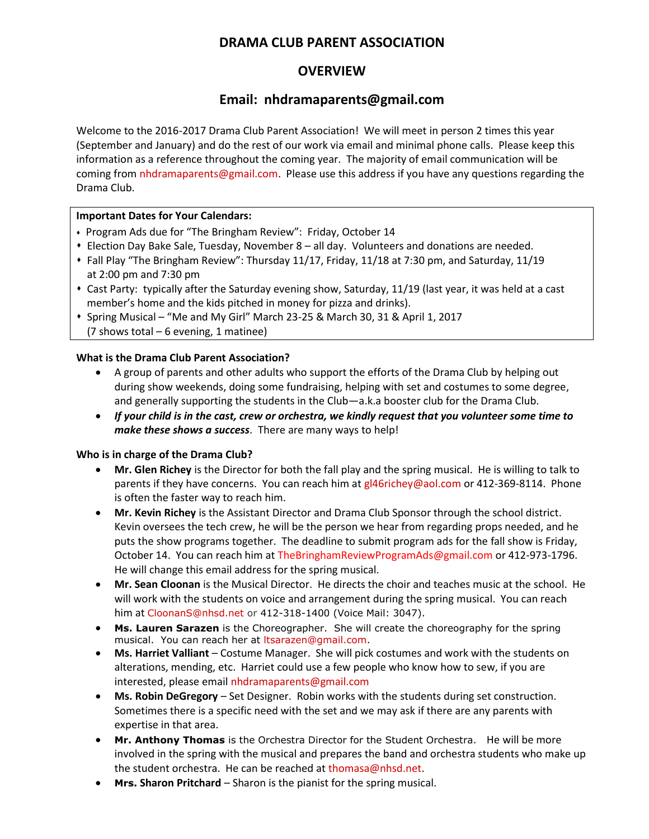# **DRAMA CLUB PARENT ASSOCIATION**

# **OVERVIEW**

# **Email: nhdramaparents@gmail.com**

Welcome to the 2016-2017 Drama Club Parent Association! We will meet in person 2 times this year (September and January) and do the rest of our work via email and minimal phone calls. Please keep this information as a reference throughout the coming year. The majority of email communication will be coming fro[m nhdramaparents@gmail.com.](mailto:nhdramaparents@gmail.com) Please use this address if you have any questions regarding the Drama Club.

#### **Important Dates for Your Calendars:**

- Program Ads due for "The Bringham Review": Friday, October 14
- Election Day Bake Sale, Tuesday, November 8 all day. Volunteers and donations are needed.
- Fall Play "The Bringham Review": Thursday 11/17, Friday, 11/18 at 7:30 pm, and Saturday, 11/19 at 2:00 pm and 7:30 pm
- Cast Party: typically after the Saturday evening show, Saturday, 11/19 (last year, it was held at a cast member's home and the kids pitched in money for pizza and drinks).
- Spring Musical "Me and My Girl" March 23-25 & March 30, 31 & April 1, 2017 (7 shows total  $-6$  evening, 1 matinee)

### **What is the Drama Club Parent Association?**

- A group of parents and other adults who support the efforts of the Drama Club by helping out during show weekends, doing some fundraising, helping with set and costumes to some degree, and generally supporting the students in the Club—a.k.a booster club for the Drama Club.
- *If your child is in the cast, crew or orchestra, we kindly request that you volunteer some time to make these shows a success*. There are many ways to help!

#### **Who is in charge of the Drama Club?**

- **Mr. Glen Richey** is the Director for both the fall play and the spring musical. He is willing to talk to parents if they have concerns. You can reach him a[t gl46richey@aol.com](mailto:gl46richey@aol.com) or 412-369-8114. Phone is often the faster way to reach him.
- **Mr. Kevin Richey** is the Assistant Director and Drama Club Sponsor through the school district. Kevin oversees the tech crew, he will be the person we hear from regarding props needed, and he puts the show programs together. The deadline to submit program ads for the fall show is Friday, October 14. You can reach him at Th[eBringhamReviewProgramAds@gmail.com](mailto:BringhamReviewProgramAds@gmail.com) or 412-973-1796. He will change this email address for the spring musical.
- **Mr. Sean Cloonan** is the Musical Director. He directs the choir and teaches music at the school. He will work with the students on voice and arrangement during the spring musical. You can reach him at [CloonanS@nhsd.net](mailto:CloonanS@nhsd.net) or 412-318-1400 (Voice Mail: 3047).
- **Ms. Lauren Sarazen** is the Choreographer. She will create the choreography for the spring musical. You can reach her at [ltsarazen@gmail.com.](mailto:ltsarazen@gmail.com)
- **Ms. Harriet Valliant** Costume Manager. She will pick costumes and work with the students on alterations, mending, etc. Harriet could use a few people who know how to sew, if you are interested, please emai[l nhdramaparents@gmail.com](mailto:nhdramaparents@gmail.com)
- **Ms. Robin DeGregory**  Set Designer. Robin works with the students during set construction. Sometimes there is a specific need with the set and we may ask if there are any parents with expertise in that area.
- **Mr. Anthony Thomas** is the Orchestra Director for the Student Orchestra. He will be more involved in the spring with the musical and prepares the band and orchestra students who make up the student orchestra. He can be reached a[t thomasa@nhsd.net.](mailto:thomasa@nhsd.net)
- **Mrs. Sharon Pritchard** Sharon is the pianist for the spring musical.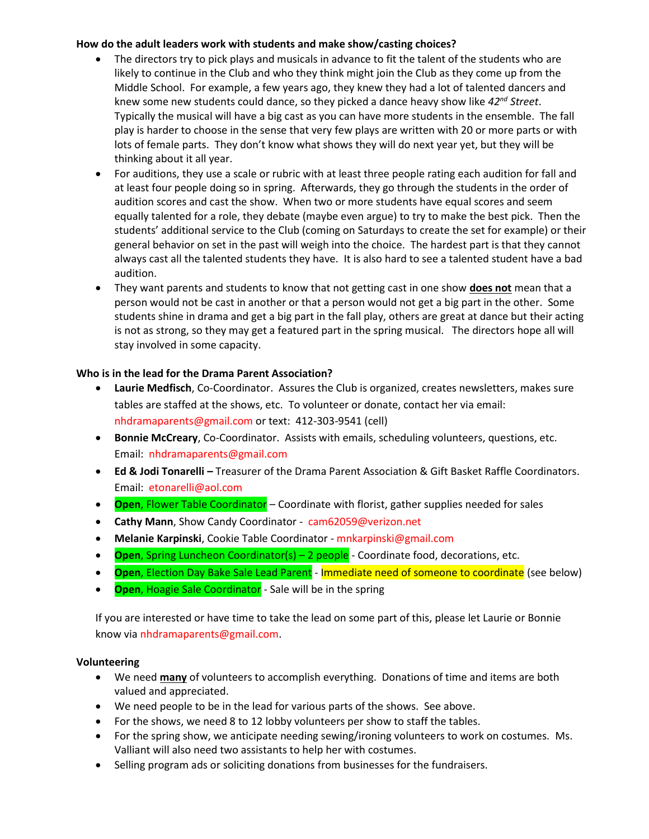### **How do the adult leaders work with students and make show/casting choices?**

- The directors try to pick plays and musicals in advance to fit the talent of the students who are likely to continue in the Club and who they think might join the Club as they come up from the Middle School. For example, a few years ago, they knew they had a lot of talented dancers and knew some new students could dance, so they picked a dance heavy show like *42nd Street*. Typically the musical will have a big cast as you can have more students in the ensemble. The fall play is harder to choose in the sense that very few plays are written with 20 or more parts or with lots of female parts. They don't know what shows they will do next year yet, but they will be thinking about it all year.
- For auditions, they use a scale or rubric with at least three people rating each audition for fall and at least four people doing so in spring. Afterwards, they go through the students in the order of audition scores and cast the show. When two or more students have equal scores and seem equally talented for a role, they debate (maybe even argue) to try to make the best pick. Then the students' additional service to the Club (coming on Saturdays to create the set for example) or their general behavior on set in the past will weigh into the choice. The hardest part is that they cannot always cast all the talented students they have. It is also hard to see a talented student have a bad audition.
- They want parents and students to know that not getting cast in one show **does not** mean that a person would not be cast in another or that a person would not get a big part in the other. Some students shine in drama and get a big part in the fall play, others are great at dance but their acting is not as strong, so they may get a featured part in the spring musical. The directors hope all will stay involved in some capacity.

### **Who is in the lead for the Drama Parent Association?**

- **Laurie Medfisch**, Co-Coordinator. Assures the Club is organized, creates newsletters, makes sure tables are staffed at the shows, etc. To volunteer or donate, contact her via email: [nhdramaparents@gmail.com](mailto:nhdramaparents@gmail.com) or text: 412-303-9541 (cell)
- **Bonnie McCreary**, Co-Coordinator. Assists with emails, scheduling volunteers, questions, etc. Email: nhdramaparents@gmail.com
- **Ed & Jodi Tonarelli –** Treasurer of the Drama Parent Association & Gift Basket Raffle Coordinators. Email: etonarelli@aol.com
- **Open**, Flower Table Coordinator Coordinate with florist, gather supplies needed for sales
- **Cathy Mann**, Show Candy Coordinator cam62059@verizon.net
- **Melanie Karpinski**, Cookie Table Coordinator mnkarpinski@gmail.com
- **Open**, Spring Luncheon Coordinator(s) 2 people Coordinate food, decorations, etc.
- **Open**, Election Day Bake Sale Lead Parent Immediate need of someone to coordinate (see below)
- **Open**, Hoagie Sale Coordinator Sale will be in the spring

If you are interested or have time to take the lead on some part of this, please let Laurie or Bonnie know via nhdramaparents@gmail.com.

## **Volunteering**

- We need **many** of volunteers to accomplish everything. Donations of time and items are both valued and appreciated.
- We need people to be in the lead for various parts of the shows. See above.
- For the shows, we need 8 to 12 lobby volunteers per show to staff the tables.
- For the spring show, we anticipate needing sewing/ironing volunteers to work on costumes. Ms. Valliant will also need two assistants to help her with costumes.
- Selling program ads or soliciting donations from businesses for the fundraisers.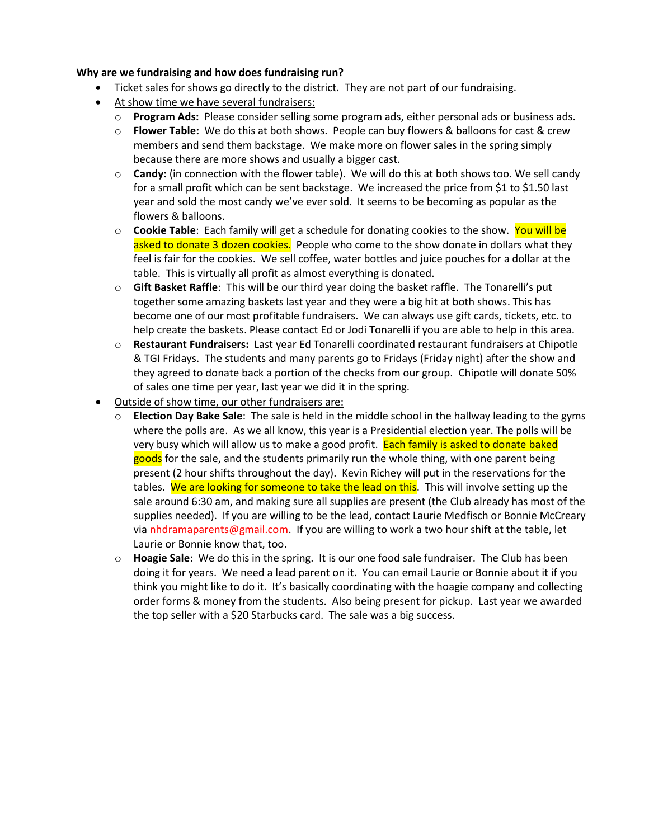#### **Why are we fundraising and how does fundraising run?**

- Ticket sales for shows go directly to the district. They are not part of our fundraising.
- At show time we have several fundraisers:
	- o **Program Ads:** Please consider selling some program ads, either personal ads or business ads.
	- o **Flower Table:** We do this at both shows. People can buy flowers & balloons for cast & crew members and send them backstage. We make more on flower sales in the spring simply because there are more shows and usually a bigger cast.
	- o **Candy:** (in connection with the flower table). We will do this at both shows too. We sell candy for a small profit which can be sent backstage. We increased the price from \$1 to \$1.50 last year and sold the most candy we've ever sold. It seems to be becoming as popular as the flowers & balloons.
	- o **Cookie Table**: Each family will get a schedule for donating cookies to the show. You will be asked to donate 3 dozen cookies. People who come to the show donate in dollars what they feel is fair for the cookies. We sell coffee, water bottles and juice pouches for a dollar at the table. This is virtually all profit as almost everything is donated.
	- o **Gift Basket Raffle**: This will be our third year doing the basket raffle. The Tonarelli's put together some amazing baskets last year and they were a big hit at both shows. This has become one of our most profitable fundraisers. We can always use gift cards, tickets, etc. to help create the baskets. Please contact Ed or Jodi Tonarelli if you are able to help in this area.
	- o **Restaurant Fundraisers:** Last year Ed Tonarelli coordinated restaurant fundraisers at Chipotle & TGI Fridays. The students and many parents go to Fridays (Friday night) after the show and they agreed to donate back a portion of the checks from our group. Chipotle will donate 50% of sales one time per year, last year we did it in the spring.
- Outside of show time, our other fundraisers are:
	- o **Election Day Bake Sale**: The sale is held in the middle school in the hallway leading to the gyms where the polls are. As we all know, this year is a Presidential election year. The polls will be very busy which will allow us to make a good profit. Each family is asked to donate baked goods for the sale, and the students primarily run the whole thing, with one parent being present (2 hour shifts throughout the day). Kevin Richey will put in the reservations for the tables. We are looking for someone to take the lead on this. This will involve setting up the sale around 6:30 am, and making sure all supplies are present (the Club already has most of the supplies needed). If you are willing to be the lead, contact Laurie Medfisch or Bonnie McCreary via nhdramaparents@gmail.com. If you are willing to work a two hour shift at the table, let Laurie or Bonnie know that, too.
	- o **Hoagie Sale**: We do this in the spring. It is our one food sale fundraiser. The Club has been doing it for years. We need a lead parent on it. You can email Laurie or Bonnie about it if you think you might like to do it. It's basically coordinating with the hoagie company and collecting order forms & money from the students. Also being present for pickup. Last year we awarded the top seller with a \$20 Starbucks card. The sale was a big success.